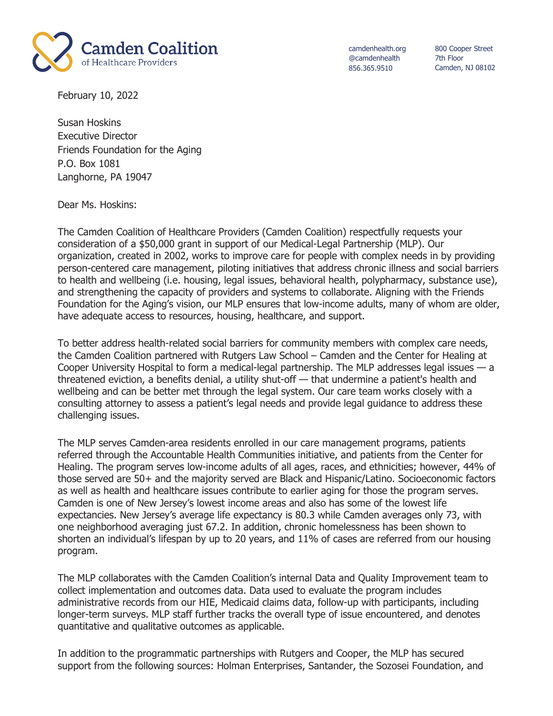

camdenhealth.org @camdenhealth 856.365.9510

800 Cooper Street 7th Floor Camden, NJ 08102

February 10, 2022

Susan Hoskins Executive Director Friends Foundation for the Aging P.O. Box 1081 Langhorne, PA 19047

Dear Ms. Hoskins:

The Camden Coalition of Healthcare Providers (Camden Coalition) respectfully requests your consideration of a \$50,000 grant in support of our Medical-Legal Partnership (MLP). Our organization, created in 2002, works to improve care for people with complex needs in by providing person-centered care management, piloting initiatives that address chronic illness and social barriers to health and wellbeing (i.e. housing, legal issues, behavioral health, polypharmacy, substance use), and strengthening the capacity of providers and systems to collaborate. Aligning with the Friends Foundation for the Aging's vision, our MLP ensures that low-income adults, many of whom are older, have adequate access to resources, housing, healthcare, and support.

To better address health-related social barriers for community members with complex care needs, the Camden Coalition partnered with Rutgers Law School – Camden and the Center for Healing at Cooper University Hospital to form a medical-legal partnership. The MLP addresses legal issues — a threatened eviction, a benefits denial, a utility shut-off — that undermine a patient's health and wellbeing and can be better met through the legal system. Our care team works closely with a consulting attorney to assess a patient's legal needs and provide legal guidance to address these challenging issues.

The MLP serves Camden-area residents enrolled in our care management programs, patients referred through the Accountable Health Communities initiative, and patients from the Center for Healing. The program serves low-income adults of all ages, races, and ethnicities; however, 44% of those served are 50+ and the majority served are Black and Hispanic/Latino. Socioeconomic factors as well as health and healthcare issues contribute to earlier aging for those the program serves. Camden is one of New Jersey's lowest income areas and also has some of the lowest life expectancies. New Jersey's average life expectancy is 80.3 while Camden averages only 73, with one neighborhood averaging just 67.2. In addition, chronic homelessness has been shown to shorten an individual's lifespan by up to 20 years, and 11% of cases are referred from our housing program.

The MLP collaborates with the Camden Coalition's internal Data and Quality Improvement team to collect implementation and outcomes data. Data used to evaluate the program includes administrative records from our HIE, Medicaid claims data, follow-up with participants, including longer-term surveys. MLP staff further tracks the overall type of issue encountered, and denotes quantitative and qualitative outcomes as applicable.

In addition to the programmatic partnerships with Rutgers and Cooper, the MLP has secured support from the following sources: Holman Enterprises, Santander, the Sozosei Foundation, and